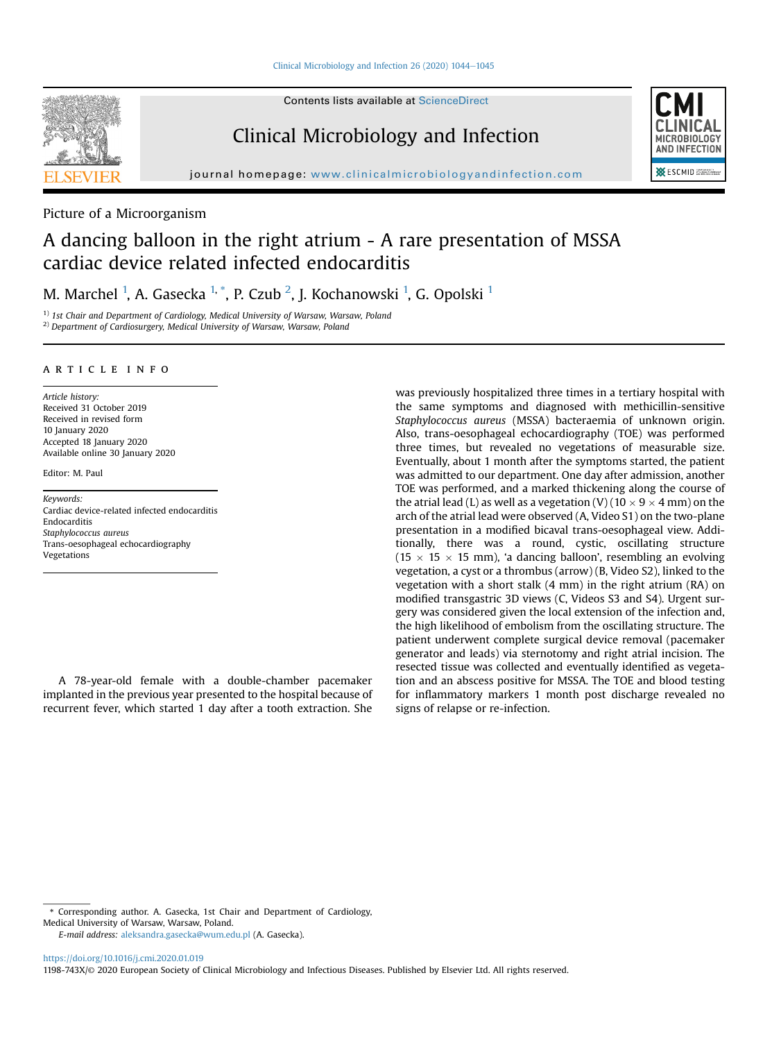

Contents lists available at [ScienceDirect](www.sciencedirect.com/science/journal/1198743X)

## Clinical Microbiology and Infection



Picture of a Microorganism

# A dancing balloon in the right atrium - A rare presentation of MSSA cardiac device related infected endocarditis

M. Marchel  $^{1}$  $^{1}$  $^{1}$ , A. Gasecka  $^{1,\, *}$  $^{1,\, *}$  $^{1,\, *}$  $^{1,\, *}$  $^{1,\, *}$ , P. Czub  $^{2}$  $^{2}$  $^{2}$ , J. Kochanowski  $^{1}$ , G. Opolski  $^{1}$ 

<span id="page-0-2"></span><span id="page-0-0"></span> $1)$  1st Chair and Department of Cardiology, Medical University of Warsaw, Warsaw, Poland <sup>2)</sup> Department of Cardiosurgery, Medical University of Warsaw, Warsaw, Poland

#### article info

Article history: Received 31 October 2019 Received in revised form 10 January 2020 Accepted 18 January 2020 Available online 30 January 2020

Editor: M. Paul

Keywords: Cardiac device-related infected endocarditis Endocarditis Staphylococcus aureus Trans-oesophageal echocardiography Vegetations

A 78-year-old female with a double-chamber pacemaker implanted in the previous year presented to the hospital because of recurrent fever, which started 1 day after a tooth extraction. She was previously hospitalized three times in a tertiary hospital with the same symptoms and diagnosed with methicillin-sensitive Staphylococcus aureus (MSSA) bacteraemia of unknown origin. Also, trans-oesophageal echocardiography (TOE) was performed three times, but revealed no vegetations of measurable size. Eventually, about 1 month after the symptoms started, the patient was admitted to our department. One day after admission, another TOE was performed, and a marked thickening along the course of the atrial lead (L) as well as a vegetation  $(V)$  (10  $\times$  9  $\times$  4 mm) on the arch of the atrial lead were observed (A, Video S1) on the two-plane presentation in a modified bicaval trans-oesophageal view. Additionally, there was a round, cystic, oscillating structure  $(15 \times 15 \times 15 \text{ mm})$ , 'a dancing balloon', resembling an evolving vegetation, a cyst or a thrombus (arrow) (B, Video S2), linked to the vegetation with a short stalk (4 mm) in the right atrium (RA) on modified transgastric 3D views (C, Videos S3 and S4). Urgent surgery was considered given the local extension of the infection and, the high likelihood of embolism from the oscillating structure. The patient underwent complete surgical device removal (pacemaker generator and leads) via sternotomy and right atrial incision. The resected tissue was collected and eventually identified as vegetation and an abscess positive for MSSA. The TOE and blood testing for inflammatory markers 1 month post discharge revealed no signs of relapse or re-infection.

E-mail address: [aleksandra.gasecka@wum.edu.pl](mailto:aleksandra.gasecka@wum.edu.pl) (A. Gasecka).

<https://doi.org/10.1016/j.cmi.2020.01.019> 1198-743X/© 2020 European Society of Clinical Microbiology and Infectious Diseases. Published by Elsevier Ltd. All rights reserved.



<span id="page-0-1"></span><sup>\*</sup> Corresponding author. A. Gasecka, 1st Chair and Department of Cardiology, Medical University of Warsaw, Warsaw, Poland.